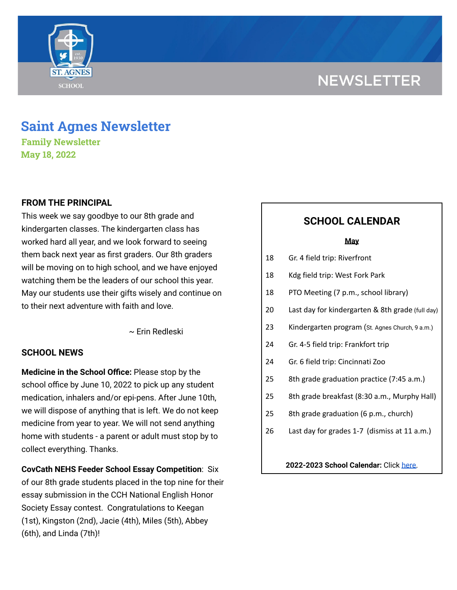# **NEWSLETTER**



# **Saint Agnes Newsletter**

**Family Newsletter May 18, 2022**

# **FROM THE PRINCIPAL**

This week we say goodbye to our 8th grade and kindergarten classes. The kindergarten class has worked hard all year, and we look forward to seeing them back next year as first graders. Our 8th graders will be moving on to high school, and we have enjoyed watching them be the leaders of our school this year. May our students use their gifts wisely and continue on to their next adventure with faith and love.

~ Erin Redleski

### **SCHOOL NEWS**

**Medicine in the School Office:** Please stop by the school office by June 10, 2022 to pick up any student medication, inhalers and/or epi-pens. After June 10th, we will dispose of anything that is left. We do not keep medicine from year to year. We will not send anything home with students - a parent or adult must stop by to collect everything. Thanks.

**CovCath NEHS Feeder School Essay Competition**: Six of our 8th grade students placed in the top nine for their essay submission in the CCH National English Honor Society Essay contest. Congratulations to Keegan (1st), Kingston (2nd), Jacie (4th), Miles (5th), Abbey (6th), and Linda (7th)!

# **SCHOOL CALENDAR**

#### **May**

- 18 Gr. 4 field trip: Riverfront
- 18 Kdg field trip: West Fork Park
- 18 PTO Meeting (7 p.m., school library)
- 20 Last day for kindergarten & 8th grade (full day)
- 23 Kindergarten program (St. Agnes Church, 9 a.m.)
- 24 Gr. 4-5 field trip: Frankfort trip
- 24 Gr. 6 field trip: Cincinnati Zoo
- 25 8th grade graduation practice (7:45 a.m.)
- 25 8th grade breakfast (8:30 a.m., Murphy Hall)
- 25 8th grade graduation (6 p.m., church)
- 26 Last day for grades 1-7 (dismiss at 11 a.m.)

**2022-2023 School Calendar:** Click [here.](https://docs.google.com/document/d/19Jca5qDUn0PL7orYjTM3_tiJTiT1MqUm7a4nh3h5hlk/edit?usp=sharing)